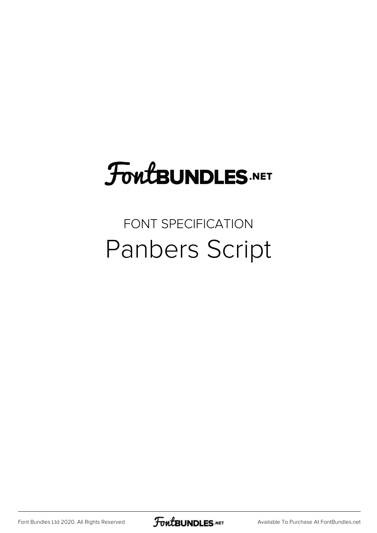## FoutBUNDLES.NET

## FONT SPECIFICATION Panbers Script

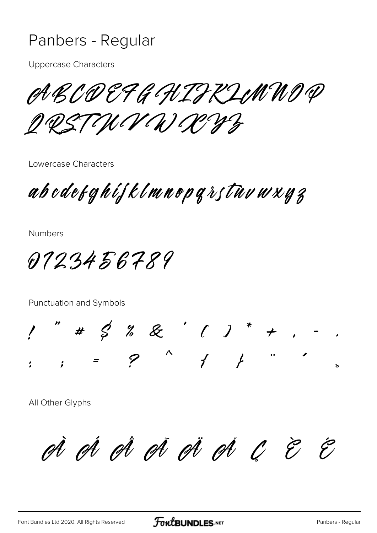## Panbers - Regular

**Uppercase Characters** 

ABCOEFG HIFKLINNO P

O Q STININO CONZ

Lowercase Characters

ab odet ghijklmnop grstuv w x y z

**Numbers** 

0723456789

Punctuation and Symbols

" #  $5 \frac{2}{6}$  & ' ( ) \* + , -<br>. = ? ^ / } " '

All Other Glyphs

A A A A A A A C E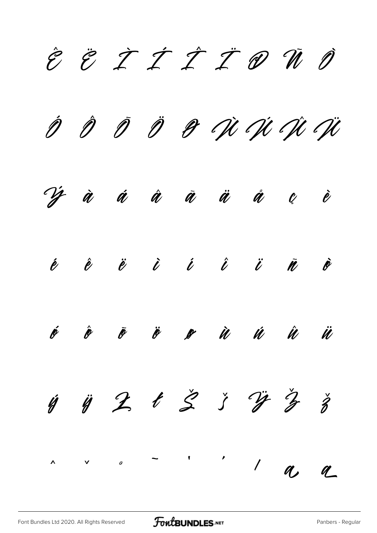È Ë T T T T D Ñ D Ö & Vi Vi Vi V  $\hat{\rho}$   $\hat{\rho}$  $\tilde{\mathscr{D}}$  $\hat{\mathscr{V}}$ â å Ù Ú Ü  $\tilde{\mathscr{A}}$  $\dot{\mathbf{\ell}}$  $\ell$  $\dot{\ell}$   $\acute{\ell}$   $\acute{\ell}$  $\acute{\ell}$  $\hat{\boldsymbol{\ell}}$  $\ddot{\ell}$  $\dot{\mathscr{O}}$  $\ddot{\ell}$  $\tilde{\mathbf{\ell}}$  $\boldsymbol{\acute{\ell}}$  $\hat{\mathscr{U}}$  $\tilde{\mathscr{P}}$  $\ddot{\ell}$ Ù Ú  $\hat{\pmb{\mathcal{U}}}$ Ü  $\mathscr{L}$  $421377$  $\check{z}$ Ú  $\pmb{\mathsf{f}}$  $\vee$  0  $\hat{\mathbf{A}}$  $\bigg)$  $a<sub>2</sub>$  $q$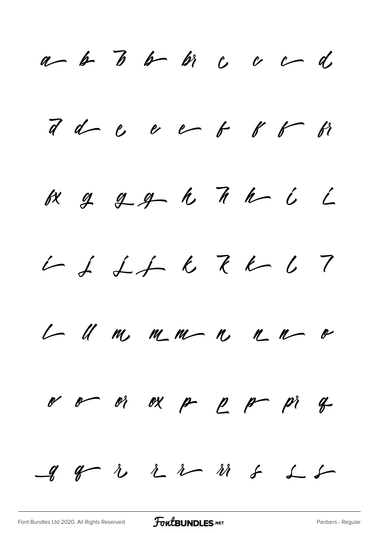